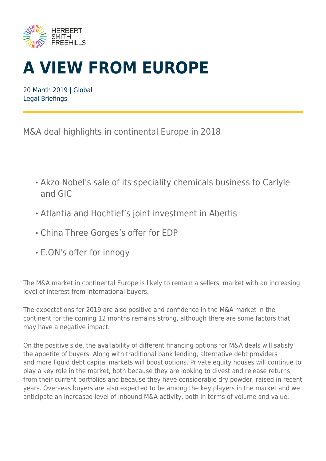

# **A VIEW FROM EUROPE**

20 March 2019 | Global Legal Briefings

M&A deal highlights in continental Europe in 2018

- Akzo Nobel's sale of its speciality chemicals business to Carlyle and GIC
- Atlantia and Hochtief's joint investment in Abertis
- China Three Gorges's offer for EDP
- E.ON's offer for innogy

The M&A market in continental Europe is likely to remain a sellers' market with an increasing level of interest from international buyers.

The expectations for 2019 are also positive and confidence in the M&A market in the continent for the coming 12 months remains strong, although there are some factors that may have a negative impact.

On the positive side, the availability of different financing options for M&A deals will satisfy the appetite of buyers. Along with traditional bank lending, alternative debt providers and more liquid debt capital markets will boost options. Private equity houses will continue to play a key role in the market, both because they are looking to divest and release returns from their current portfolios and because they have considerable dry powder, raised in recent years. Overseas buyers are also expected to be among the key players in the market and we anticipate an increased level of inbound M&A activity, both in terms of volume and value.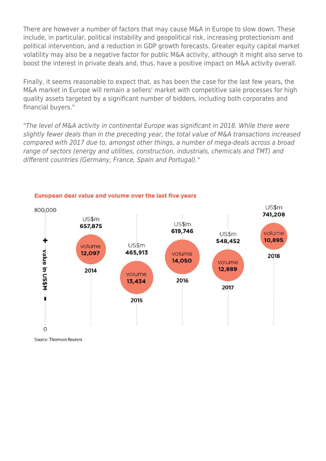There are however a number of factors that may cause M&A in Europe to slow down. These include, in particular, political instability and geopolitical risk, increasing protectionism and political intervention, and a reduction in GDP growth forecasts. Greater equity capital market volatility may also be a negative factor for public M&A activity, although it might also serve to boost the interest in private deals and, thus, have a positive impact on M&A activity overall.

Finally, it seems reasonable to expect that, as has been the case for the last few years, the M&A market in Europe will remain a sellers' market with competitive sale processes for high quality assets targeted by a significant number of bidders, including both corporates and financial buyers."

"The level of M&A activity in continental Europe was significant in 2018. While there were slightly fewer deals than in the preceding year, the total value of M&A transactions increased compared with 2017 due to, amongst other things, a number of mega-deals across a broad range of sectors (energy and utilities, construction, industrials, chemicals and TMT) and different countries (Germany, France, Spain and Portugal)."



#### European deal value and volume over the last five years

**Source: Thomson Reuters**